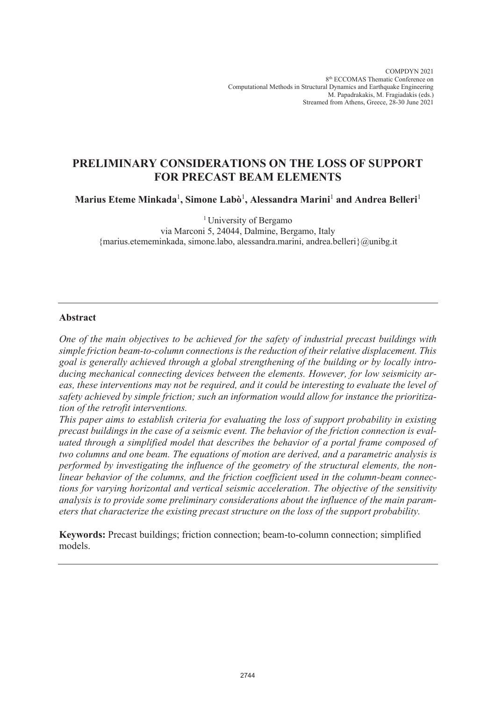COMPDYN 2021 8th ECCOMAS Thematic Conference on Computational Methods in Structural Dynamics and Earthquake Engineering M. Papadrakakis, M. Fragiadakis (eds.) Streamed from Athens, Greece, 28-30 June 2021

# **PRELIMINARY CONSIDERATIONS ON THE LOSS OF SUPPORT FOR PRECAST BEAM ELEMENTS**

**Marius Eteme Minkada**<sup>1</sup> **, Simone Labò**<sup>1</sup> **, Alessandra Marini**<sup>1</sup> **and Andrea Belleri**<sup>1</sup>

<sup>1</sup> University of Bergamo via Marconi 5, 24044, Dalmine, Bergamo, Italy {marius.etememinkada, simone.labo, alessandra.marini, andrea.belleri}@unibg.it

## **Abstract**

*One of the main objectives to be achieved for the safety of industrial precast buildings with simple friction beam-to-column connections is the reduction of their relative displacement. This goal is generally achieved through a global strengthening of the building or by locally introducing mechanical connecting devices between the elements. However, for low seismicity areas, these interventions may not be required, and it could be interesting to evaluate the level of safety achieved by simple friction; such an information would allow for instance the prioritization of the retrofit interventions.*

*This paper aims to establish criteria for evaluating the loss of support probability in existing precast buildings in the case of a seismic event. The behavior of the friction connection is evaluated through a simplified model that describes the behavior of a portal frame composed of two columns and one beam. The equations of motion are derived, and a parametric analysis is performed by investigating the influence of the geometry of the structural elements, the nonlinear behavior of the columns, and the friction coefficient used in the column-beam connections for varying horizontal and vertical seismic acceleration. The objective of the sensitivity analysis is to provide some preliminary considerations about the influence of the main parameters that characterize the existing precast structure on the loss of the support probability.*

**Keywords:** Precast buildings; friction connection; beam-to-column connection; simplified models.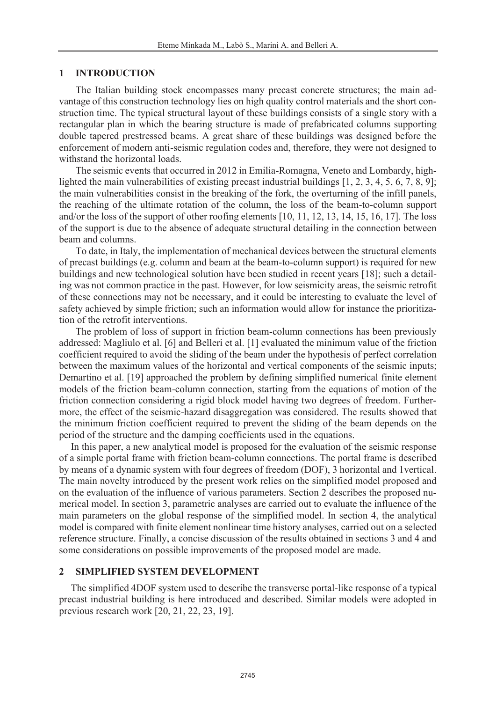### **1 INTRODUCTION**

The Italian building stock encompasses many precast concrete structures; the main advantage of this construction technology lies on high quality control materials and the short construction time. The typical structural layout of these buildings consists of a single story with a rectangular plan in which the bearing structure is made of prefabricated columns supporting double tapered prestressed beams. A great share of these buildings was designed before the enforcement of modern anti-seismic regulation codes and, therefore, they were not designed to withstand the horizontal loads.

The seismic events that occurred in 2012 in Emilia-Romagna, Veneto and Lombardy, highlighted the main vulnerabilities of existing precast industrial buildings [1, 2, 3, 4, 5, 6, 7, 8, 9]; the main vulnerabilities consist in the breaking of the fork, the overturning of the infill panels, the reaching of the ultimate rotation of the column, the loss of the beam-to-column support and/or the loss of the support of other roofing elements [10, 11, 12, 13, 14, 15, 16, 17]. The loss of the support is due to the absence of adequate structural detailing in the connection between beam and columns.

To date, in Italy, the implementation of mechanical devices between the structural elements of precast buildings (e.g. column and beam at the beam-to-column support) is required for new buildings and new technological solution have been studied in recent years [18]; such a detailing was not common practice in the past. However, for low seismicity areas, the seismic retrofit of these connections may not be necessary, and it could be interesting to evaluate the level of safety achieved by simple friction; such an information would allow for instance the prioritization of the retrofit interventions.

The problem of loss of support in friction beam-column connections has been previously addressed: Magliulo et al. [6] and Belleri et al. [1] evaluated the minimum value of the friction coefficient required to avoid the sliding of the beam under the hypothesis of perfect correlation between the maximum values of the horizontal and vertical components of the seismic inputs; Demartino et al. [19] approached the problem by defining simplified numerical finite element models of the friction beam-column connection, starting from the equations of motion of the friction connection considering a rigid block model having two degrees of freedom. Furthermore, the effect of the seismic-hazard disaggregation was considered. The results showed that the minimum friction coefficient required to prevent the sliding of the beam depends on the period of the structure and the damping coefficients used in the equations.

In this paper, a new analytical model is proposed for the evaluation of the seismic response of a simple portal frame with friction beam-column connections. The portal frame is described by means of a dynamic system with four degrees of freedom (DOF), 3 horizontal and 1vertical. The main novelty introduced by the present work relies on the simplified model proposed and on the evaluation of the influence of various parameters. Section 2 describes the proposed numerical model. In section 3, parametric analyses are carried out to evaluate the influence of the main parameters on the global response of the simplified model. In section 4, the analytical model is compared with finite element nonlinear time history analyses, carried out on a selected reference structure. Finally, a concise discussion of the results obtained in sections 3 and 4 and some considerations on possible improvements of the proposed model are made.

## **2 SIMPLIFIED SYSTEM DEVELOPMENT**

The simplified 4DOF system used to describe the transverse portal-like response of a typical precast industrial building is here introduced and described. Similar models were adopted in previous research work [20, 21, 22, 23, 19].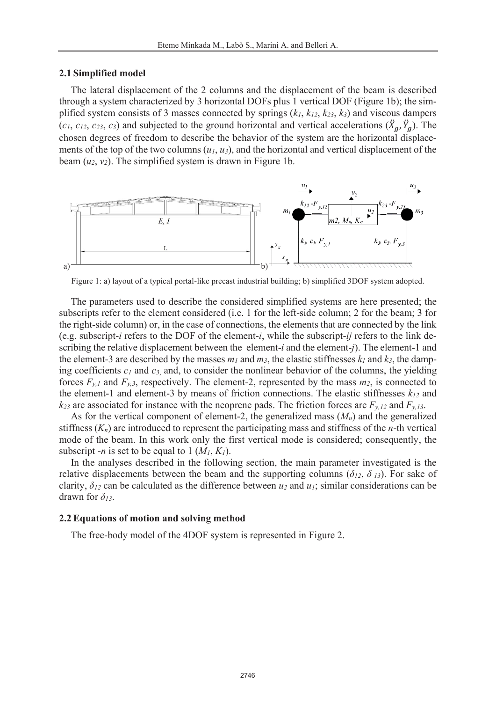### **2.1 Simplified model**

The lateral displacement of the 2 columns and the displacement of the beam is described through a system characterized by 3 horizontal DOFs plus 1 vertical DOF (Figure 1b); the simplified system consists of 3 masses connected by springs (*k1*, *k12*, *k23*, *k3*) and viscous dampers  $(c_1, c_{12}, c_{23}, c_3)$  and subjected to the ground horizontal and vertical accelerations  $(\ddot{X}_g, \ddot{Y}_g)$ . The chosen degrees of freedom to describe the behavior of the system are the horizontal displacements of the top of the two columns (*u1*, *u3*), and the horizontal and vertical displacement of the beam  $(u_2, v_2)$ . The simplified system is drawn in Figure 1b.



Figure 1: a) layout of a typical portal-like precast industrial building; b) simplified 3DOF system adopted.

The parameters used to describe the considered simplified systems are here presented; the subscripts refer to the element considered (i.e. 1 for the left-side column; 2 for the beam; 3 for the right-side column) or, in the case of connections, the elements that are connected by the link (e.g. subscript-*i* refers to the DOF of the element-*i*, while the subscript-*ij* refers to the link describing the relative displacement between the element-*i* and the element-*j*). The element-1 and the element-3 are described by the masses  $m_l$  and  $m_3$ , the elastic stiffnesses  $k_l$  and  $k_3$ , the damping coefficients *c1* and *c3*, and, to consider the nonlinear behavior of the columns, the yielding forces  $F_{y,l}$  and  $F_{y,3}$ , respectively. The element-2, represented by the mass  $m_2$ , is connected to the element-1 and element-3 by means of friction connections. The elastic stiffnesses *k12* and  $k_{23}$  are associated for instance with the neoprene pads. The friction forces are  $F_{y,12}$  and  $F_{y,13}$ .

As for the vertical component of element-2, the generalized mass (*Mn*) and the generalized stiffness (*Kn*) are introduced to represent the participating mass and stiffness of the *n*-th vertical mode of the beam. In this work only the first vertical mode is considered; consequently, the subscript -*n* is set to be equal to 1  $(M_1, K_1)$ .

In the analyses described in the following section, the main parameter investigated is the relative displacements between the beam and the supporting columns ( $\delta_{12}$ ,  $\delta_{13}$ ). For sake of clarity,  $\delta_{12}$  can be calculated as the difference between  $u_2$  and  $u_1$ ; similar considerations can be drawn for *δ13*.

#### **2.2 Equations of motion and solving method**

The free-body model of the 4DOF system is represented in Figure 2.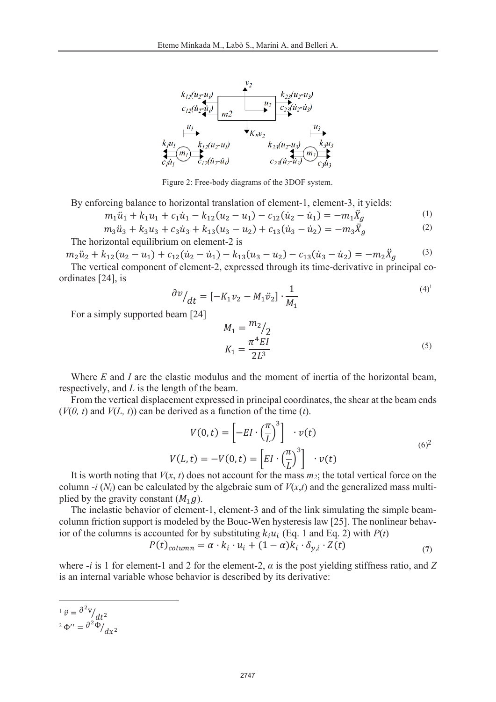

Figure 2: Free-body diagrams of the 3DOF system.

By enforcing balance to horizontal translation of element-1, element-3, it yields:

$$
m_1\ddot{u}_1 + k_1u_1 + c_1\dot{u}_1 - k_{12}(u_2 - u_1) - c_{12}(\dot{u}_2 - \dot{u}_1) = -m_1\ddot{X}_g
$$
\n(1)

$$
m_3\ddot{u}_3 + k_3u_3 + c_3\dot{u}_3 + k_{13}(u_3 - u_2) + c_{13}(\dot{u}_3 - \dot{u}_2) = -m_3\ddot{X}_g
$$
 (2)

The horizontal equilibrium on element-2 is

 $m_2\ddot{u}_2 + k_{12}(u_2 - u_1) + c_{12}(\dot{u}_2 - \dot{u}_1) - k_{13}(u_3 - u_2) - c_{13}(\dot{u}_3 - \dot{u}_2) = -m_2\ddot{X}$ (3)

The vertical component of element-2, expressed through its time-derivative in principal coordinates [24], is

$$
\frac{\partial v}{\partial t} = \left[ -K_1 v_2 - M_1 \ddot{v}_2 \right] \cdot \frac{1}{M_1} \tag{4}
$$

For a simply supported beam [24]

$$
M_1 = \frac{m_2}{2} \frac{m_2}{2L^3}
$$
\n
$$
K_1 = \frac{\pi^4 EI}{2L^3}
$$
\n(5)

Where *E* and *I* are the elastic modulus and the moment of inertia of the horizontal beam, respectively, and *L* is the length of the beam.

From the vertical displacement expressed in principal coordinates, the shear at the beam ends  $(V(0, t)$  and  $V(L, t)$  can be derived as a function of the time  $(t)$ .

$$
V(0, t) = \left[ -EI \cdot \left(\frac{\pi}{L}\right)^3 \right] \cdot v(t)
$$
  

$$
V(L, t) = -V(0, t) = \left[ EI \cdot \left(\frac{\pi}{L}\right)^3 \right] \cdot v(t)
$$
 (6)<sup>2</sup>

It is worth noting that  $V(x, t)$  does not account for the mass  $m_2$ ; the total vertical force on the column  $-i$  ( $N_i$ ) can be calculated by the algebraic sum of  $V(x,t)$  and the generalized mass multiplied by the gravity constant  $(M_1, g)$ .

The inelastic behavior of element-1, element-3 and of the link simulating the simple beamcolumn friction support is modeled by the Bouc-Wen hysteresis law [25]. The nonlinear behavior of the columns is accounted for by substituting  $k_i u_i$  (Eq. 1 and Eq. 2) with  $P(t)$ 

$$
P(t)_{column} = \alpha \cdot k_i \cdot u_i + (1 - \alpha)k_i \cdot \delta_{y,i} \cdot Z(t) \tag{7}
$$

where  $-i$  is 1 for element-1 and 2 for the element-2,  $\alpha$  is the post yielding stiffness ratio, and Z is an internal variable whose behavior is described by its derivative:

<sup>1</sup>  $\ddot{v} = \frac{\partial^2 v}{\partial t^2}$ <sup>2</sup>  $\Phi'' = \frac{\partial^2 \Phi}{\partial x^2}$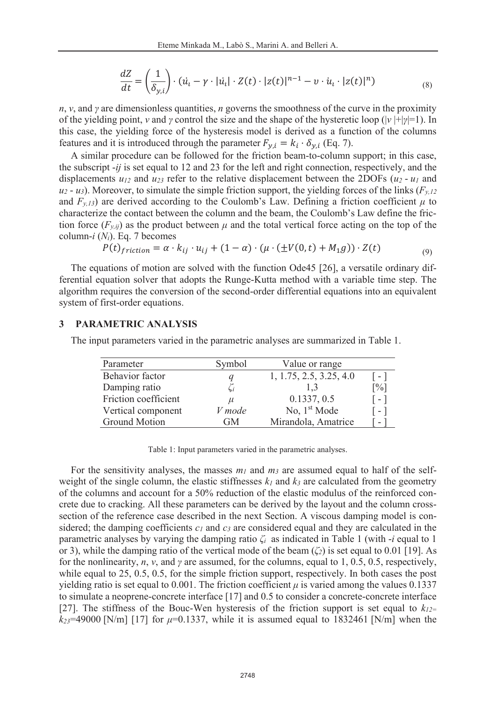$$
\frac{dZ}{dt} = \left(\frac{1}{\delta_{y,i}}\right) \cdot \left(\dot{u}_t - \gamma \cdot |\dot{u}_t| \cdot Z(t) \cdot |z(t)|^{n-1} - \nu \cdot \dot{u}_t \cdot |z(t)|^n\right) \tag{8}
$$

*n*, *ν*, and *γ* are dimensionless quantities, *n* governs the smoothness of the curve in the proximity of the yielding point, *ν* and *γ* control the size and the shape of the hysteretic loop (|*ν* |+|*γ*|=1). In this case, the yielding force of the hysteresis model is derived as a function of the columns features and it is introduced through the parameter  $F_{y,i} = k_i \cdot \delta_{y,i}$  (Eq. 7).

A similar procedure can be followed for the friction beam-to-column support; in this case, the subscript -*ij* is set equal to 12 and 23 for the left and right connection, respectively, and the displacements  $u_{12}$  and  $u_{23}$  refer to the relative displacement between the 2DOFs ( $u_2$  -  $u_1$  and  $u_2 - u_3$ ). Moreover, to simulate the simple friction support, the yielding forces of the links ( $F_{y,12}$ ) and  $F_{y,13}$ ) are derived according to the Coulomb's Law. Defining a friction coefficient  $\mu$  to characterize the contact between the column and the beam, the Coulomb's Law define the friction force  $(F_{y,ij})$  as the product between  $\mu$  and the total vertical force acting on the top of the column-*i* (*Ni*). Eq. 7 becomes

$$
P(t)_{friction} = \alpha \cdot k_{ij} \cdot u_{ij} + (1 - \alpha) \cdot (\mu \cdot (\pm V(0, t) + M_1 g)) \cdot Z(t)
$$
\n(9)

The equations of motion are solved with the function Ode45 [26], a versatile ordinary differential equation solver that adopts the Runge-Kutta method with a variable time step. The algorithm requires the conversion of the second-order differential equations into an equivalent system of first-order equations.

### **3 PARAMETRIC ANALYSIS**

The input parameters varied in the parametric analyses are summarized in Table 1.

| Parameter            | Symbol | Value or range           |                   |
|----------------------|--------|--------------------------|-------------------|
| Behavior factor      |        | 1, 1.75, 2.5, 3.25, 4.0  | l - I             |
| Damping ratio        | Li     | 1.3                      | $\lceil\% \rceil$ |
| Friction coefficient | $\mu$  | 0.1337, 0.5              | $-1$              |
| Vertical component   | V mode | No, 1 <sup>st</sup> Mode | $-1$              |
| <b>Ground Motion</b> | GM     | Mirandola, Amatrice      | -                 |

Table 1: Input parameters varied in the parametric analyses.

For the sensitivity analyses, the masses  $m_l$  and  $m_3$  are assumed equal to half of the selfweight of the single column, the elastic stiffnesses  $k_l$  and  $k_3$  are calculated from the geometry of the columns and account for a 50% reduction of the elastic modulus of the reinforced concrete due to cracking. All these parameters can be derived by the layout and the column crosssection of the reference case described in the next Section. A viscous damping model is considered; the damping coefficients  $c_1$  and  $c_3$  are considered equal and they are calculated in the parametric analyses by varying the damping ratio *ζ<sup>i</sup>* as indicated in Table 1 (with -*i* equal to 1 or 3), while the damping ratio of the vertical mode of the beam (*ζ2*) is set equal to 0.01 [19]. As for the nonlinearity, *n*, *ν*, and *γ* are assumed, for the columns, equal to 1, 0.5, 0.5, respectively, while equal to 25, 0.5, 0.5, for the simple friction support, respectively. In both cases the post yielding ratio is set equal to 0.001. The friction coefficient  $\mu$  is varied among the values 0.1337 to simulate a neoprene-concrete interface [17] and 0.5 to consider a concrete-concrete interface [27]. The stiffness of the Bouc-Wen hysteresis of the friction support is set equal to  $k_{12}$ =  $k_{23}$ =49000 [N/m] [17] for  $\mu$ =0.1337, while it is assumed equal to 1832461 [N/m] when the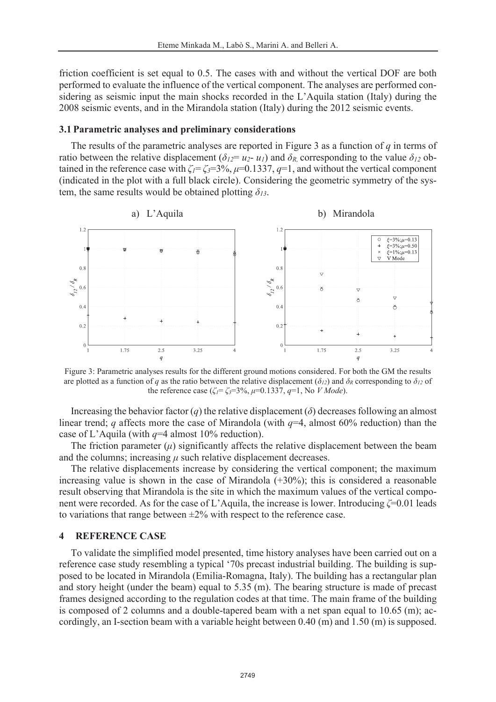friction coefficient is set equal to 0.5. The cases with and without the vertical DOF are both performed to evaluate the influence of the vertical component. The analyses are performed considering as seismic input the main shocks recorded in the L'Aquila station (Italy) during the 2008 seismic events, and in the Mirandola station (Italy) during the 2012 seismic events.

#### **3.1 Parametric analyses and preliminary considerations**

The results of the parametric analyses are reported in Figure 3 as a function of *q* in terms of ratio between the relative displacement ( $\delta_{12} = u_2 - u_1$ ) and  $\delta_R$ , corresponding to the value  $\delta_{12}$  obtained in the reference case with  $\zeta = \zeta = 3\%$ ,  $\mu = 0.1337$ ,  $\eta = 1$ , and without the vertical component (indicated in the plot with a full black circle). Considering the geometric symmetry of the system, the same results would be obtained plotting *δ13*.



Figure 3: Parametric analyses results for the different ground motions considered. For both the GM the results are plotted as a function of *q* as the ratio between the relative displacement ( $\delta_{12}$ ) and  $\delta_R$  corresponding to  $\delta_{12}$  of the reference case ( $\zeta_I = \zeta_3 = 3\%$ ,  $\mu = 0.1337$ ,  $q=1$ , No *V Mode*).

Increasing the behavior factor (*q*) the relative displacement ( $\delta$ ) decreases following an almost linear trend; *q* affects more the case of Mirandola (with *q*=4, almost 60% reduction) than the case of L'Aquila (with *q*=4 almost 10% reduction).

The friction parameter  $(\mu)$  significantly affects the relative displacement between the beam and the columns; increasing  $\mu$  such relative displacement decreases.

The relative displacements increase by considering the vertical component; the maximum increasing value is shown in the case of Mirandola (+30%); this is considered a reasonable result observing that Mirandola is the site in which the maximum values of the vertical component were recorded. As for the case of L'Aquila, the increase is lower. Introducing *ζ*=0.01 leads to variations that range between  $\pm 2\%$  with respect to the reference case.

#### **4 REFERENCE CASE**

To validate the simplified model presented, time history analyses have been carried out on a reference case study resembling a typical '70s precast industrial building. The building is supposed to be located in Mirandola (Emilia-Romagna, Italy). The building has a rectangular plan and story height (under the beam) equal to 5.35 (m). The bearing structure is made of precast frames designed according to the regulation codes at that time. The main frame of the building is composed of 2 columns and a double-tapered beam with a net span equal to 10.65 (m); accordingly, an I-section beam with a variable height between 0.40 (m) and 1.50 (m) is supposed.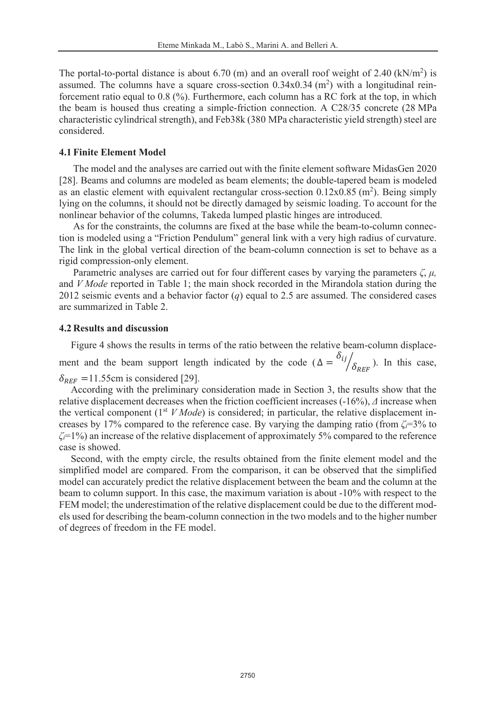The portal-to-portal distance is about 6.70 (m) and an overall roof weight of 2.40 ( $kN/m<sup>2</sup>$ ) is assumed. The columns have a square cross-section  $0.34 \times 0.34 \text{ (m}^2)$  with a longitudinal reinforcement ratio equal to 0.8 (%). Furthermore, each column has a RC fork at the top, in which the beam is housed thus creating a simple-friction connection. A C28/35 concrete (28 MPa characteristic cylindrical strength), and Feb38k (380 MPa characteristic yield strength) steel are considered.

### **4.1 Finite Element Model**

The model and the analyses are carried out with the finite element software MidasGen 2020 [28]. Beams and columns are modeled as beam elements; the double-tapered beam is modeled as an elastic element with equivalent rectangular cross-section  $0.12x0.85$  (m<sup>2</sup>). Being simply lying on the columns, it should not be directly damaged by seismic loading. To account for the nonlinear behavior of the columns, Takeda lumped plastic hinges are introduced.

As for the constraints, the columns are fixed at the base while the beam-to-column connection is modeled using a "Friction Pendulum" general link with a very high radius of curvature. The link in the global vertical direction of the beam-column connection is set to behave as a rigid compression-only element.

Parametric analyses are carried out for four different cases by varying the parameters  $\zeta$ ,  $\mu$ , and *V Mode* reported in Table 1; the main shock recorded in the Mirandola station during the 2012 seismic events and a behavior factor (*q*) equal to 2.5 are assumed. The considered cases are summarized in Table 2.

### **4.2 Results and discussion**

Figure 4 shows the results in terms of the ratio between the relative beam-column displace-

ment and the beam support length indicated by the code ( $\Delta = \frac{\delta_{ij}}{\delta_{REF}}$ ). In this case,  $\delta_{RFF}$  = 11.55cm is considered [29].

According with the preliminary consideration made in Section 3, the results show that the relative displacement decreases when the friction coefficient increases (-16%), *Δ* increase when the vertical component (1<sup>st</sup> *V Mode*) is considered; in particular, the relative displacement increases by 17% compared to the reference case. By varying the damping ratio (from  $\zeta = 3\%$  to *ζi*=1%) an increase of the relative displacement of approximately 5% compared to the reference case is showed.

Second, with the empty circle, the results obtained from the finite element model and the simplified model are compared. From the comparison, it can be observed that the simplified model can accurately predict the relative displacement between the beam and the column at the beam to column support. In this case, the maximum variation is about -10% with respect to the FEM model; the underestimation of the relative displacement could be due to the different models used for describing the beam-column connection in the two models and to the higher number of degrees of freedom in the FE model.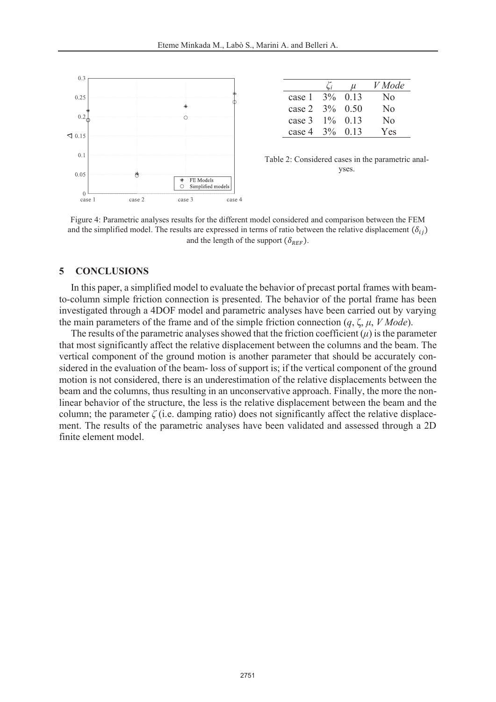

|        |            | u          | V Mode         |
|--------|------------|------------|----------------|
| case 1 | $3\%$ 0.13 |            | N <sub>0</sub> |
| case 2 | $3\%$ 0.50 |            | No             |
| case 3 | $1\%$ 0.13 |            | No             |
| case 4 |            | $3\%$ 0.13 | Yes            |

Table 2: Considered cases in the parametric analyses.

Figure 4: Parametric analyses results for the different model considered and comparison between the FEM and the simplified model. The results are expressed in terms of ratio between the relative displacement  $(\delta_{ij})$ and the length of the support  $(\delta_{REF})$ .

### **5 CONCLUSIONS**

In this paper, a simplified model to evaluate the behavior of precast portal frames with beamto-column simple friction connection is presented. The behavior of the portal frame has been investigated through a 4DOF model and parametric analyses have been carried out by varying the main parameters of the frame and of the simple friction connection (*q*, ζ, *μ*, *V Mode*).

The results of the parametric analyses showed that the friction coefficient  $(\mu)$  is the parameter that most significantly affect the relative displacement between the columns and the beam. The vertical component of the ground motion is another parameter that should be accurately considered in the evaluation of the beam- loss of support is; if the vertical component of the ground motion is not considered, there is an underestimation of the relative displacements between the beam and the columns, thus resulting in an unconservative approach. Finally, the more the nonlinear behavior of the structure, the less is the relative displacement between the beam and the column; the parameter  $\zeta$  (i.e. damping ratio) does not significantly affect the relative displacement. The results of the parametric analyses have been validated and assessed through a 2D finite element model.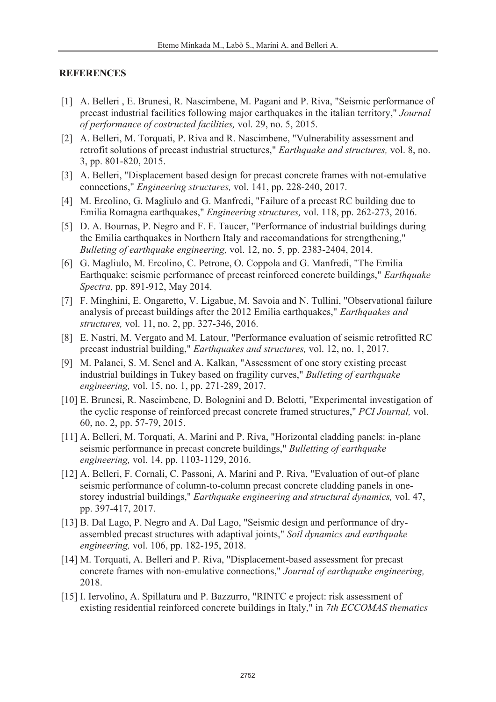# **REFERENCES**

- [1] A. Belleri , E. Brunesi, R. Nascimbene, M. Pagani and P. Riva, "Seismic performance of precast industrial facilities following major earthquakes in the italian territory," *Journal of performance of costructed facilities,* vol. 29, no. 5, 2015.
- [2] A. Belleri, M. Torquati, P. Riva and R. Nascimbene, "Vulnerability assessment and retrofit solutions of precast industrial structures," *Earthquake and structures,* vol. 8, no. 3, pp. 801-820, 2015.
- [3] A. Belleri, "Displacement based design for precast concrete frames with not-emulative connections," *Engineering structures,* vol. 141, pp. 228-240, 2017.
- [4] M. Ercolino, G. Magliulo and G. Manfredi, "Failure of a precast RC building due to Emilia Romagna earthquakes," *Engineering structures,* vol. 118, pp. 262-273, 2016.
- [5] D. A. Bournas, P. Negro and F. F. Taucer, "Performance of industrial buildings during the Emilia earthquakes in Northern Italy and raccomandations for strengthening," *Bulleting of earthquake engineering,* vol. 12, no. 5, pp. 2383-2404, 2014.
- [6] G. Magliulo, M. Ercolino, C. Petrone, O. Coppola and G. Manfredi, "The Emilia Earthquake: seismic performance of precast reinforced concrete buildings," *Earthquake Spectra,* pp. 891-912, May 2014.
- [7] F. Minghini, E. Ongaretto, V. Ligabue, M. Savoia and N. Tullini, "Observational failure analysis of precast buildings after the 2012 Emilia earthquakes," *Earthquakes and structures,* vol. 11, no. 2, pp. 327-346, 2016.
- [8] E. Nastri, M. Vergato and M. Latour, "Performance evaluation of seismic retrofitted RC precast industrial building," *Earthquakes and structures,* vol. 12, no. 1, 2017.
- [9] M. Palanci, S. M. Senel and A. Kalkan, "Assessment of one story existing precast industrial buildings in Tukey based on fragility curves," *Bulleting of earthquake engineering,* vol. 15, no. 1, pp. 271-289, 2017.
- [10] E. Brunesi, R. Nascimbene, D. Bolognini and D. Belotti, "Experimental investigation of the cyclic response of reinforced precast concrete framed structures," *PCI Journal,* vol. 60, no. 2, pp. 57-79, 2015.
- [11] A. Belleri, M. Torquati, A. Marini and P. Riva, "Horizontal cladding panels: in-plane seismic performance in precast concrete buildings," *Bulletting of earthquake engineering,* vol. 14, pp. 1103-1129, 2016.
- [12] A. Belleri, F. Cornali, C. Passoni, A. Marini and P. Riva, "Evaluation of out-of plane seismic performance of column-to-column precast concrete cladding panels in onestorey industrial buildings," *Earthquake engineering and structural dynamics,* vol. 47, pp. 397-417, 2017.
- [13] B. Dal Lago, P. Negro and A. Dal Lago, "Seismic design and performance of dryassembled precast structures with adaptival joints," *Soil dynamics and earthquake engineering,* vol. 106, pp. 182-195, 2018.
- [14] M. Torquati, A. Belleri and P. Riva, "Displacement-based assessment for precast concrete frames with non-emulative connections," *Journal of earthquake engineering,*  2018.
- [15] I. Iervolino, A. Spillatura and P. Bazzurro, "RINTC e project: risk assessment of existing residential reinforced concrete buildings in Italy," in *7th ECCOMAS thematics*